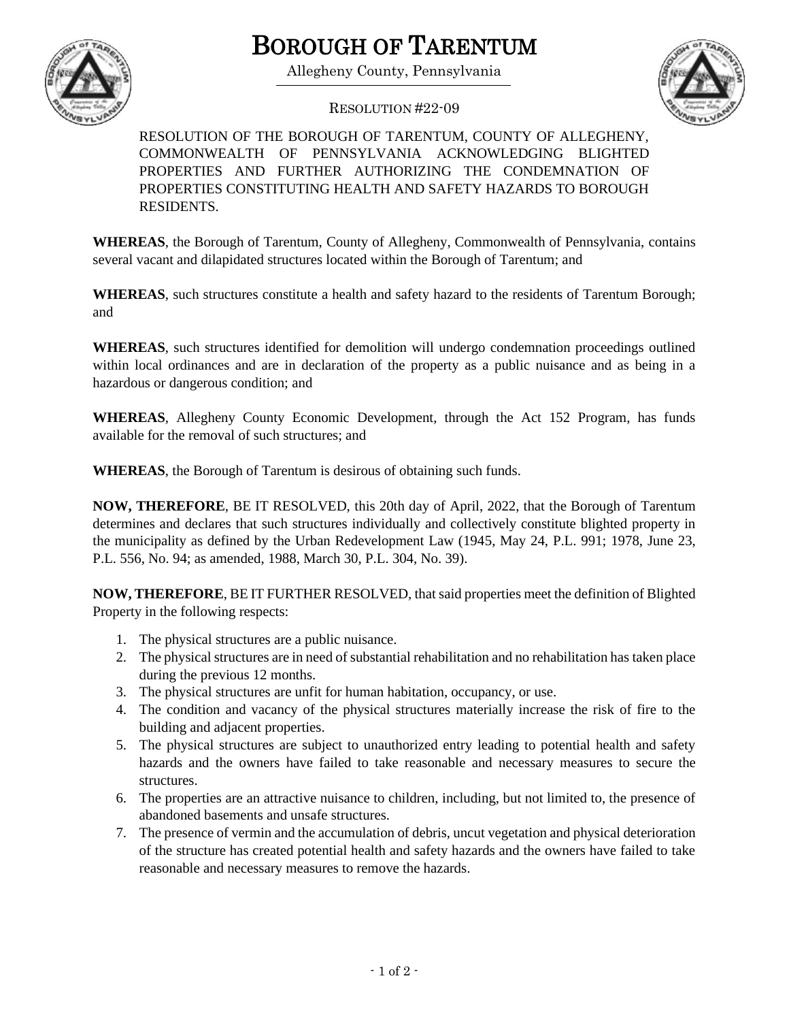

## BOROUGH OF TARENTUM

Allegheny County, Pennsylvania



RESOLUTION #22-09

RESOLUTION OF THE BOROUGH OF TARENTUM, COUNTY OF ALLEGHENY, COMMONWEALTH OF PENNSYLVANIA ACKNOWLEDGING BLIGHTED PROPERTIES AND FURTHER AUTHORIZING THE CONDEMNATION OF PROPERTIES CONSTITUTING HEALTH AND SAFETY HAZARDS TO BOROUGH RESIDENTS.

**WHEREAS**, the Borough of Tarentum, County of Allegheny, Commonwealth of Pennsylvania, contains several vacant and dilapidated structures located within the Borough of Tarentum; and

**WHEREAS**, such structures constitute a health and safety hazard to the residents of Tarentum Borough; and

**WHEREAS**, such structures identified for demolition will undergo condemnation proceedings outlined within local ordinances and are in declaration of the property as a public nuisance and as being in a hazardous or dangerous condition; and

**WHEREAS**, Allegheny County Economic Development, through the Act 152 Program, has funds available for the removal of such structures; and

**WHEREAS**, the Borough of Tarentum is desirous of obtaining such funds.

**NOW, THEREFORE**, BE IT RESOLVED, this 20th day of April, 2022, that the Borough of Tarentum determines and declares that such structures individually and collectively constitute blighted property in the municipality as defined by the Urban Redevelopment Law (1945, May 24, P.L. 991; 1978, June 23, P.L. 556, No. 94; as amended, 1988, March 30, P.L. 304, No. 39).

**NOW, THEREFORE**, BE IT FURTHER RESOLVED, that said properties meet the definition of Blighted Property in the following respects:

- 1. The physical structures are a public nuisance.
- 2. The physical structures are in need of substantial rehabilitation and no rehabilitation has taken place during the previous 12 months.
- 3. The physical structures are unfit for human habitation, occupancy, or use.
- 4. The condition and vacancy of the physical structures materially increase the risk of fire to the building and adjacent properties.
- 5. The physical structures are subject to unauthorized entry leading to potential health and safety hazards and the owners have failed to take reasonable and necessary measures to secure the structures.
- 6. The properties are an attractive nuisance to children, including, but not limited to, the presence of abandoned basements and unsafe structures.
- 7. The presence of vermin and the accumulation of debris, uncut vegetation and physical deterioration of the structure has created potential health and safety hazards and the owners have failed to take reasonable and necessary measures to remove the hazards.